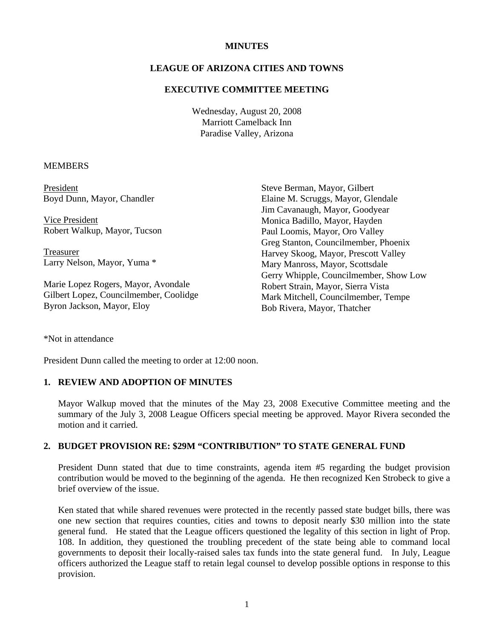# **MINUTES**

# **LEAGUE OF ARIZONA CITIES AND TOWNS**

# **EXECUTIVE COMMITTEE MEETING**

Wednesday, August 20, 2008 Marriott Camelback Inn Paradise Valley, Arizona

## **MEMBERS**

| President                              | Steve Berman, Mayor, Gilbert           |
|----------------------------------------|----------------------------------------|
| Boyd Dunn, Mayor, Chandler             | Elaine M. Scruggs, Mayor, Glendale     |
|                                        | Jim Cavanaugh, Mayor, Goodyear         |
| Vice President                         | Monica Badillo, Mayor, Hayden          |
| Robert Walkup, Mayor, Tucson           | Paul Loomis, Mayor, Oro Valley         |
|                                        | Greg Stanton, Councilmember, Phoenix   |
| <b>Treasurer</b>                       | Harvey Skoog, Mayor, Prescott Valley   |
| Larry Nelson, Mayor, Yuma *            | Mary Manross, Mayor, Scottsdale        |
|                                        | Gerry Whipple, Councilmember, Show Low |
| Marie Lopez Rogers, Mayor, Avondale    | Robert Strain, Mayor, Sierra Vista     |
| Gilbert Lopez, Councilmember, Coolidge | Mark Mitchell, Councilmember, Tempe    |
| Byron Jackson, Mayor, Eloy             | Bob Rivera, Mayor, Thatcher            |

\*Not in attendance

President Dunn called the meeting to order at 12:00 noon.

# **1. REVIEW AND ADOPTION OF MINUTES**

Mayor Walkup moved that the minutes of the May 23, 2008 Executive Committee meeting and the summary of the July 3, 2008 League Officers special meeting be approved. Mayor Rivera seconded the motion and it carried.

#### **2. BUDGET PROVISION RE: \$29M "CONTRIBUTION" TO STATE GENERAL FUND**

President Dunn stated that due to time constraints, agenda item #5 regarding the budget provision contribution would be moved to the beginning of the agenda. He then recognized Ken Strobeck to give a brief overview of the issue.

Ken stated that while shared revenues were protected in the recently passed state budget bills, there was one new section that requires counties, cities and towns to deposit nearly \$30 million into the state general fund. He stated that the League officers questioned the legality of this section in light of Prop. 108. In addition, they questioned the troubling precedent of the state being able to command local governments to deposit their locally-raised sales tax funds into the state general fund. In July, League officers authorized the League staff to retain legal counsel to develop possible options in response to this provision.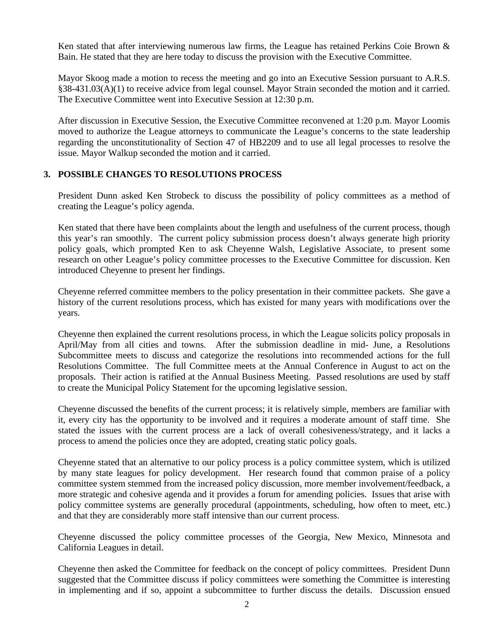Ken stated that after interviewing numerous law firms, the League has retained Perkins Coie Brown & Bain. He stated that they are here today to discuss the provision with the Executive Committee.

Mayor Skoog made a motion to recess the meeting and go into an Executive Session pursuant to A.R.S. §38-431.03(A)(1) to receive advice from legal counsel. Mayor Strain seconded the motion and it carried. The Executive Committee went into Executive Session at 12:30 p.m.

After discussion in Executive Session, the Executive Committee reconvened at 1:20 p.m. Mayor Loomis moved to authorize the League attorneys to communicate the League's concerns to the state leadership regarding the unconstitutionality of Section 47 of HB2209 and to use all legal processes to resolve the issue. Mayor Walkup seconded the motion and it carried.

# **3. POSSIBLE CHANGES TO RESOLUTIONS PROCESS**

President Dunn asked Ken Strobeck to discuss the possibility of policy committees as a method of creating the League's policy agenda.

Ken stated that there have been complaints about the length and usefulness of the current process, though this year's ran smoothly. The current policy submission process doesn't always generate high priority policy goals, which prompted Ken to ask Cheyenne Walsh, Legislative Associate, to present some research on other League's policy committee processes to the Executive Committee for discussion. Ken introduced Cheyenne to present her findings.

Cheyenne referred committee members to the policy presentation in their committee packets. She gave a history of the current resolutions process, which has existed for many years with modifications over the years.

Cheyenne then explained the current resolutions process, in which the League solicits policy proposals in April/May from all cities and towns. After the submission deadline in mid- June, a Resolutions Subcommittee meets to discuss and categorize the resolutions into recommended actions for the full Resolutions Committee. The full Committee meets at the Annual Conference in August to act on the proposals. Their action is ratified at the Annual Business Meeting. Passed resolutions are used by staff to create the Municipal Policy Statement for the upcoming legislative session.

Cheyenne discussed the benefits of the current process; it is relatively simple, members are familiar with it, every city has the opportunity to be involved and it requires a moderate amount of staff time. She stated the issues with the current process are a lack of overall cohesiveness/strategy, and it lacks a process to amend the policies once they are adopted, creating static policy goals.

Cheyenne stated that an alternative to our policy process is a policy committee system, which is utilized by many state leagues for policy development. Her research found that common praise of a policy committee system stemmed from the increased policy discussion, more member involvement/feedback, a more strategic and cohesive agenda and it provides a forum for amending policies. Issues that arise with policy committee systems are generally procedural (appointments, scheduling, how often to meet, etc.) and that they are considerably more staff intensive than our current process.

Cheyenne discussed the policy committee processes of the Georgia, New Mexico, Minnesota and California Leagues in detail.

Cheyenne then asked the Committee for feedback on the concept of policy committees. President Dunn suggested that the Committee discuss if policy committees were something the Committee is interesting in implementing and if so, appoint a subcommittee to further discuss the details. Discussion ensued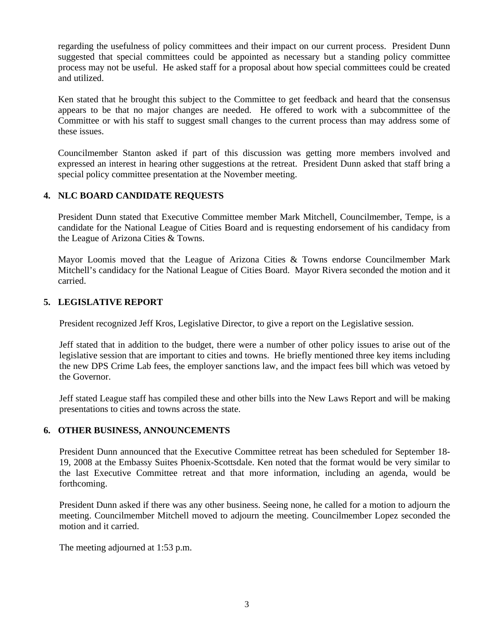regarding the usefulness of policy committees and their impact on our current process. President Dunn suggested that special committees could be appointed as necessary but a standing policy committee process may not be useful. He asked staff for a proposal about how special committees could be created and utilized.

Ken stated that he brought this subject to the Committee to get feedback and heard that the consensus appears to be that no major changes are needed. He offered to work with a subcommittee of the Committee or with his staff to suggest small changes to the current process than may address some of these issues.

Councilmember Stanton asked if part of this discussion was getting more members involved and expressed an interest in hearing other suggestions at the retreat. President Dunn asked that staff bring a special policy committee presentation at the November meeting.

# **4. NLC BOARD CANDIDATE REQUESTS**

President Dunn stated that Executive Committee member Mark Mitchell, Councilmember, Tempe, is a candidate for the National League of Cities Board and is requesting endorsement of his candidacy from the League of Arizona Cities & Towns.

Mayor Loomis moved that the League of Arizona Cities & Towns endorse Councilmember Mark Mitchell's candidacy for the National League of Cities Board. Mayor Rivera seconded the motion and it carried.

# **5. LEGISLATIVE REPORT**

President recognized Jeff Kros, Legislative Director, to give a report on the Legislative session.

Jeff stated that in addition to the budget, there were a number of other policy issues to arise out of the legislative session that are important to cities and towns. He briefly mentioned three key items including the new DPS Crime Lab fees, the employer sanctions law, and the impact fees bill which was vetoed by the Governor.

Jeff stated League staff has compiled these and other bills into the New Laws Report and will be making presentations to cities and towns across the state.

# **6. OTHER BUSINESS, ANNOUNCEMENTS**

President Dunn announced that the Executive Committee retreat has been scheduled for September 18- 19, 2008 at the Embassy Suites Phoenix-Scottsdale. Ken noted that the format would be very similar to the last Executive Committee retreat and that more information, including an agenda, would be forthcoming.

President Dunn asked if there was any other business. Seeing none, he called for a motion to adjourn the meeting. Councilmember Mitchell moved to adjourn the meeting. Councilmember Lopez seconded the motion and it carried.

The meeting adjourned at 1:53 p.m.